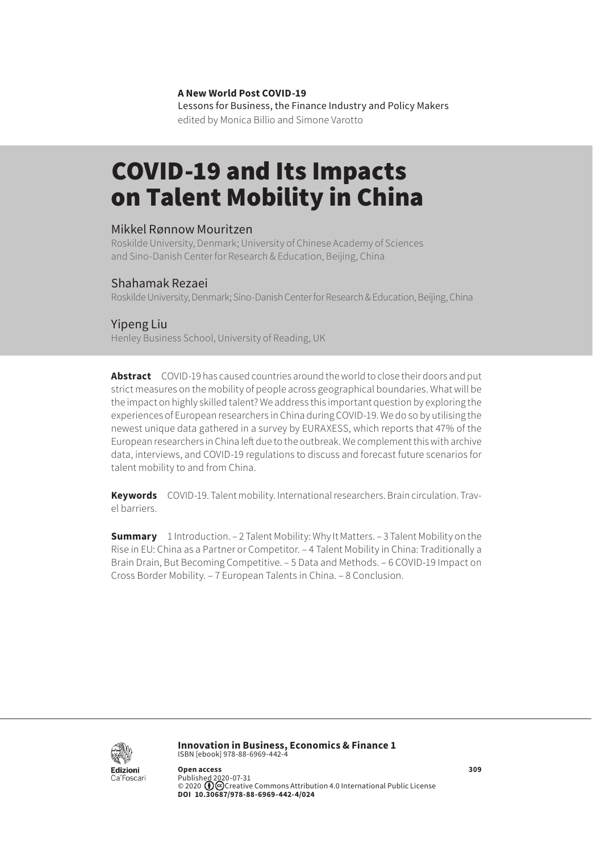#### **A New World Post COVID-19**

Lessons for Business, the Finance Industry and Policy Makers edited by Monica Billio and Simone Varotto

# COVID-19 and Its Impacts on Talent Mobility in China

#### Mikkel Rønnow Mouritzen

Roskilde University, Denmark; University of Chinese Academy of Sciences and Sino-Danish Center for Research & Education, Beijing, China

#### Shahamak Rezaei

Roskilde University, Denmark; Sino-Danish Center for Research & Education, Beijing, China

#### Yipeng Liu

Henley Business School, University of Reading, UK

**Abstract** COVID-19 has caused countries around the world to close their doors and put strict measures on the mobility of people across geographical boundaries. What will be the impact on highly skilled talent? We address this important question by exploring the experiences of European researchers in China during COVID-19. We do so by utilising the newest unique data gathered in a survey by EURAXESS, which reports that 47% of the European researchers in China left due to the outbreak. We complement this with archive data, interviews, and COVID-19 regulations to discuss and forecast future scenarios for talent mobility to and from China.

**Keywords** COVID-19. Talent mobility. International researchers. Brain circulation. Travel barriers.

**Summary** [1 Introduction.](#page-1-0) – [2 Talent Mobility: Why It Matters](#page-1-0)[. – 3 Talent Mobility on the](#page-2-0)  [Rise in EU: China as a Partner or Competitor. – 4 Talent Mobility in China: Traditionally a](#page-2-0)  [Brain Drain, But Becoming Competitive](#page-2-0). [– 5 Data and Methods](#page-3-0)[. – 6 COVID-19 Impact on](#page-4-0)  [Cross Border Mobility](#page-4-0)[. – 7 European Talents in China.](#page-6-0) [– 8 Conclusion](#page-7-0).



**Innovation in Business, Economics & Finance 1** ISBN [ebook] 978-88-6969-442-4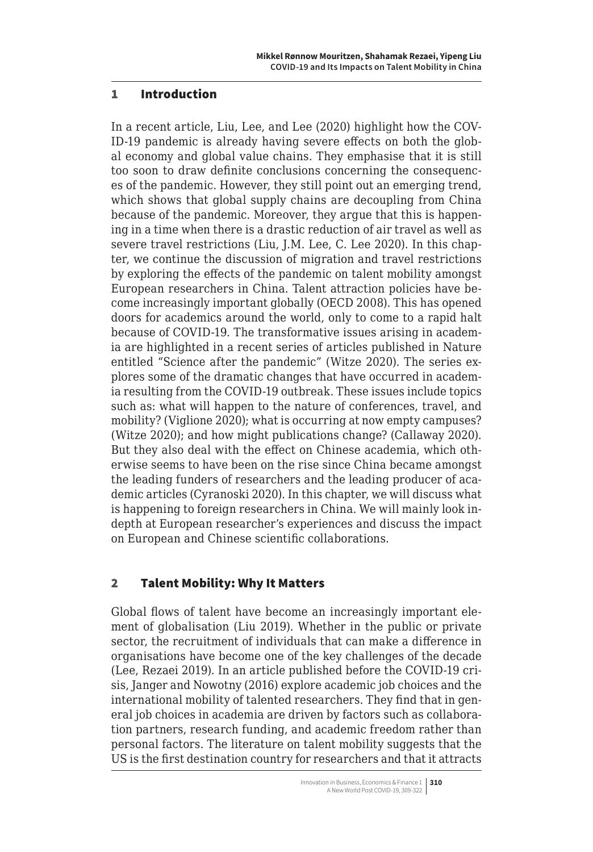#### <span id="page-1-0"></span>1 Introduction

In a recent article, Liu, Lee, and Lee (2020) highlight how the COV-ID-19 pandemic is already having severe effects on both the global economy and global value chains. They emphasise that it is still too soon to draw definite conclusions concerning the consequences of the pandemic. However, they still point out an emerging trend, which shows that global supply chains are decoupling from China because of the pandemic. Moreover, they argue that this is happening in a time when there is a drastic reduction of air travel as well as severe travel restrictions (Liu, J.M. Lee, C. Lee 2020). In this chapter, we continue the discussion of migration and travel restrictions by exploring the effects of the pandemic on talent mobility amongst European researchers in China. Talent attraction policies have become increasingly important globally (OECD 2008). This has opened doors for academics around the world, only to come to a rapid halt because of COVID-19. The transformative issues arising in academia are highlighted in a recent series of articles published in Nature entitled "Science after the pandemic" (Witze 2020). The series explores some of the dramatic changes that have occurred in academia resulting from the COVID-19 outbreak. These issues include topics such as: what will happen to the nature of conferences, travel, and mobility? (Viglione 2020); what is occurring at now empty campuses? (Witze 2020); and how might publications change? (Callaway 2020). But they also deal with the effect on Chinese academia, which otherwise seems to have been on the rise since China became amongst the leading funders of researchers and the leading producer of academic articles (Cyranoski 2020). In this chapter, we will discuss what is happening to foreign researchers in China. We will mainly look indepth at European researcher's experiences and discuss the impact on European and Chinese scientific collaborations.

## 2 Talent Mobility: Why It Matters

Global flows of talent have become an increasingly important element of globalisation (Liu 2019). Whether in the public or private sector, the recruitment of individuals that can make a difference in organisations have become one of the key challenges of the decade (Lee, Rezaei 2019). In an article published before the COVID-19 crisis, Janger and Nowotny (2016) explore academic job choices and the international mobility of talented researchers. They find that in general job choices in academia are driven by factors such as collaboration partners, research funding, and academic freedom rather than personal factors. The literature on talent mobility suggests that the US is the first destination country for researchers and that it attracts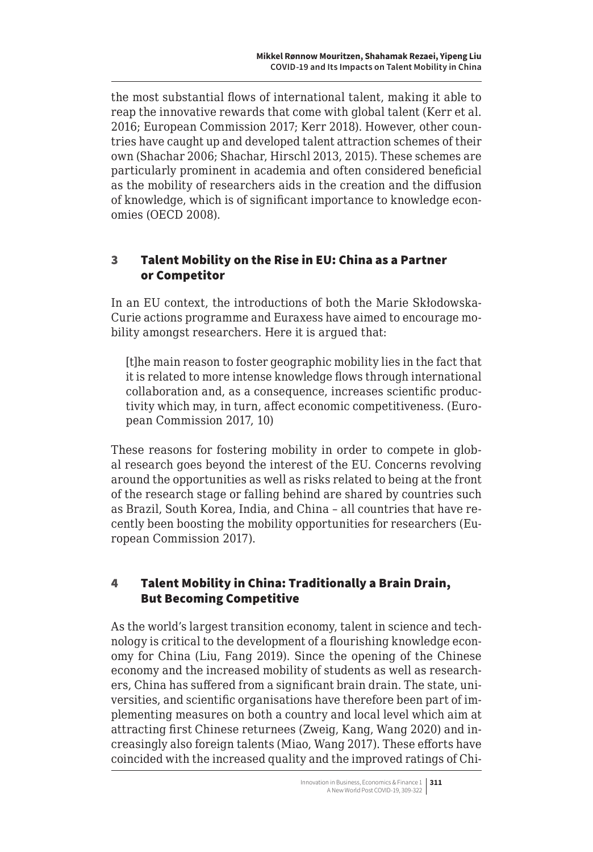<span id="page-2-0"></span>the most substantial flows of international talent, making it able to reap the innovative rewards that come with global talent (Kerr et al. 2016; European Commission 2017; Kerr 2018). However, other countries have caught up and developed talent attraction schemes of their own (Shachar 2006; Shachar, Hirschl 2013, 2015). These schemes are particularly prominent in academia and often considered beneficial as the mobility of researchers aids in the creation and the diffusion of knowledge, which is of significant importance to knowledge economies (OECD 2008).

## 3 Talent Mobility on the Rise in EU: China as a Partner or Competitor

In an EU context, the introductions of both the Marie Skłodowska-Curie actions programme and Euraxess have aimed to encourage mobility amongst researchers. Here it is argued that:

[t]he main reason to foster geographic mobility lies in the fact that it is related to more intense knowledge flows through international collaboration and, as a consequence, increases scientific productivity which may, in turn, affect economic competitiveness. (European Commission 2017, 10)

These reasons for fostering mobility in order to compete in global research goes beyond the interest of the EU. Concerns revolving around the opportunities as well as risks related to being at the front of the research stage or falling behind are shared by countries such as Brazil, South Korea, India, and China – all countries that have recently been boosting the mobility opportunities for researchers (European Commission 2017).

## 4 Talent Mobility in China: Traditionally a Brain Drain, But Becoming Competitive

As the world's largest transition economy, talent in science and technology is critical to the development of a flourishing knowledge economy for China (Liu, Fang 2019). Since the opening of the Chinese economy and the increased mobility of students as well as researchers, China has suffered from a significant brain drain. The state, universities, and scientific organisations have therefore been part of implementing measures on both a country and local level which aim at attracting first Chinese returnees (Zweig, Kang, Wang 2020) and increasingly also foreign talents (Miao, Wang 2017). These efforts have coincided with the increased quality and the improved ratings of Chi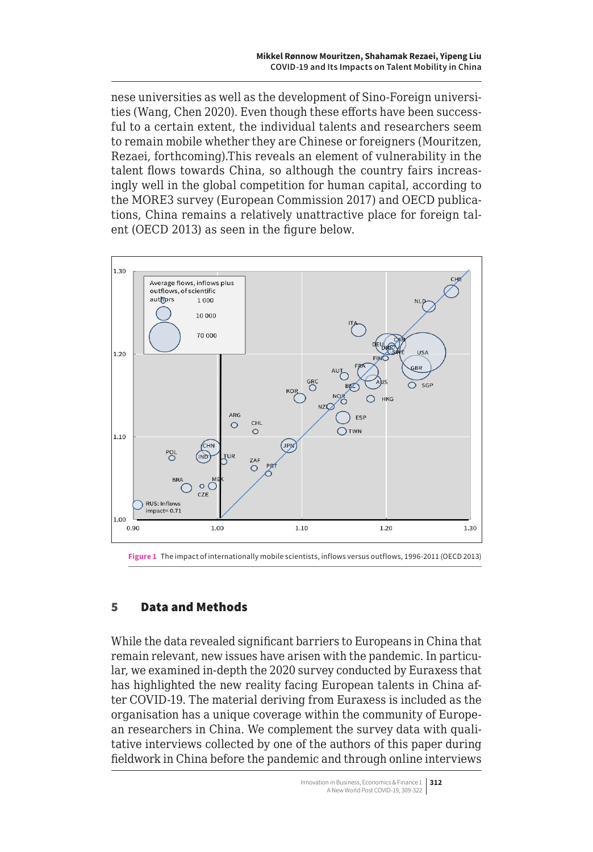<span id="page-3-0"></span>nese universities as well as the development of Sino-Foreign universities (Wang, Chen 2020). Even though these efforts have been successful to a certain extent, the individual talents and researchers seem to remain mobile whether they are Chinese or foreigners (Mouritzen, Rezaei, forthcoming).This reveals an element of vulnerability in the talent flows towards China, so although the country fairs increasingly well in the global competition for human capital, according to the MORE3 survey (European Commission 2017) and OECD publications, China remains a relatively unattractive place for foreign talent (OECD 2013) as seen in the figure below.



**Figure 1** The impact of internationally mobile scientists, inflows versus outflows, 1996-2011 (OECD 2013)

## 5 Data and Methods

While the data revealed significant barriers to Europeans in China that remain relevant, new issues have arisen with the pandemic. In particular, we examined in-depth the 2020 survey conducted by Euraxess that has highlighted the new reality facing European talents in China after COVID-19. The material deriving from Euraxess is included as the organisation has a unique coverage within the community of European researchers in China. We complement the survey data with qualitative interviews collected by one of the authors of this paper during fieldwork in China before the pandemic and through online interviews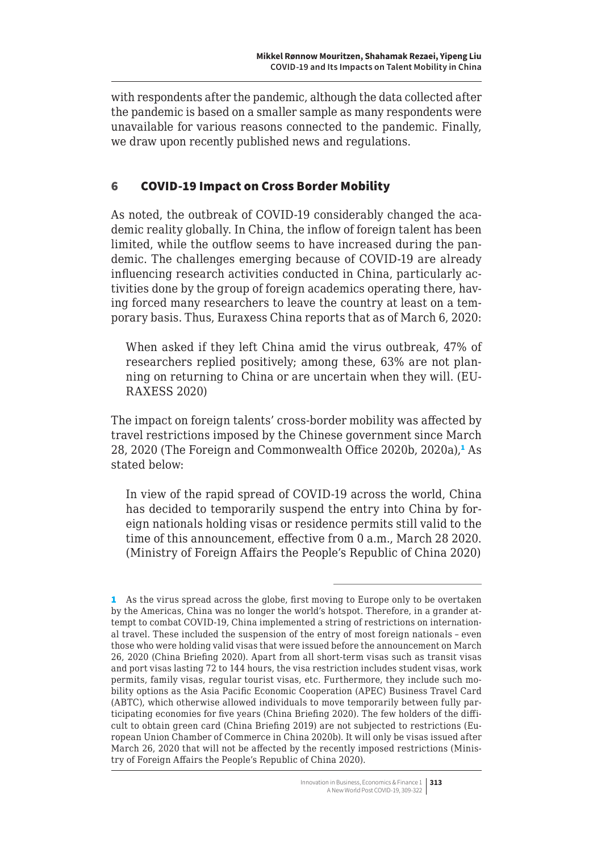<span id="page-4-0"></span>with respondents after the pandemic, although the data collected after the pandemic is based on a smaller sample as many respondents were unavailable for various reasons connected to the pandemic. Finally, we draw upon recently published news and regulations.

## 6 COVID-19 Impact on Cross Border Mobility

As noted, the outbreak of COVID-19 considerably changed the academic reality globally. In China, the inflow of foreign talent has been limited, while the outflow seems to have increased during the pandemic. The challenges emerging because of COVID-19 are already influencing research activities conducted in China, particularly activities done by the group of foreign academics operating there, having forced many researchers to leave the country at least on a temporary basis. Thus, Euraxess China reports that as of March 6, 2020:

When asked if they left China amid the virus outbreak, 47% of researchers replied positively; among these, 63% are not planning on returning to China or are uncertain when they will. (EU-RAXESS 2020)

The impact on foreign talents' cross-border mobility was affected by travel restrictions imposed by the Chinese government since March 28, 2020 (The Foreign and Commonwealth Office 2020b, 2020a),<sup>1</sup> As stated below:

In view of the rapid spread of COVID-19 across the world, China has decided to temporarily suspend the entry into China by foreign nationals holding visas or residence permits still valid to the time of this announcement, effective from 0 a.m., March 28 2020. (Ministry of Foreign Affairs the People's Republic of China 2020)

<sup>1</sup> As the virus spread across the globe, first moving to Europe only to be overtaken by the Americas, China was no longer the world's hotspot. Therefore, in a grander attempt to combat COVID-19, China implemented a string of restrictions on international travel. These included the suspension of the entry of most foreign nationals – even those who were holding valid visas that were issued before the announcement on March 26, 2020 (China Briefing 2020). Apart from all short-term visas such as transit visas and port visas lasting 72 to 144 hours, the visa restriction includes student visas, work permits, family visas, regular tourist visas, etc. Furthermore, they include such mobility options as the Asia Pacific Economic Cooperation (APEC) Business Travel Card (ABTC), which otherwise allowed individuals to move temporarily between fully participating economies for five years (China Briefing 2020). The few holders of the difficult to obtain green card (China Briefing 2019) are not subjected to restrictions (European Union Chamber of Commerce in China 2020b). It will only be visas issued after March 26, 2020 that will not be affected by the recently imposed restrictions (Ministry of Foreign Affairs the People's Republic of China 2020).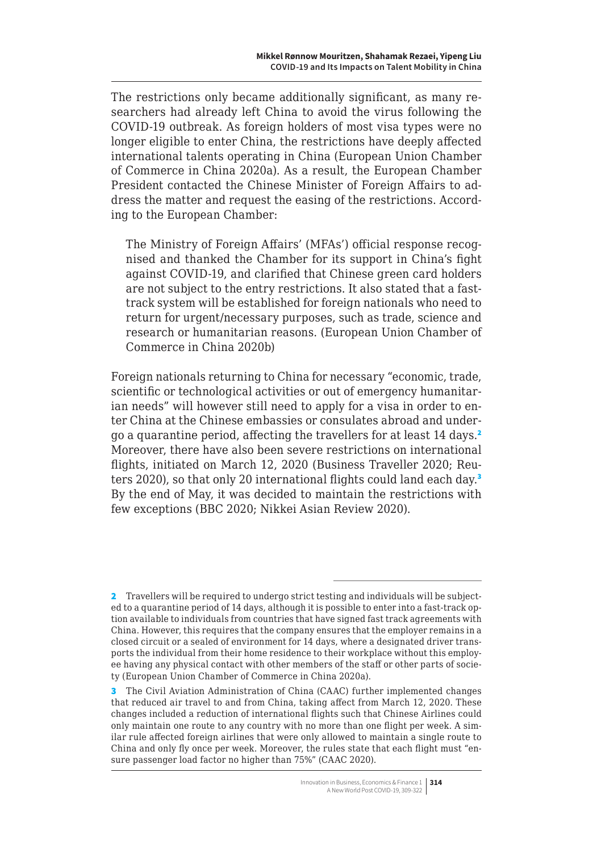The restrictions only became additionally significant, as many researchers had already left China to avoid the virus following the COVID-19 outbreak. As foreign holders of most visa types were no longer eligible to enter China, the restrictions have deeply affected international talents operating in China (European Union Chamber of Commerce in China 2020a). As a result, the European Chamber President contacted the Chinese Minister of Foreign Affairs to address the matter and request the easing of the restrictions. According to the European Chamber:

The Ministry of Foreign Affairs' (MFAs') official response recognised and thanked the Chamber for its support in China's fight against COVID-19, and clarified that Chinese green card holders are not subject to the entry restrictions. It also stated that a fasttrack system will be established for foreign nationals who need to return for urgent/necessary purposes, such as trade, science and research or humanitarian reasons. (European Union Chamber of Commerce in China 2020b)

Foreign nationals returning to China for necessary "economic, trade, scientific or technological activities or out of emergency humanitarian needs" will however still need to apply for a visa in order to enter China at the Chinese embassies or consulates abroad and undergo a quarantine period, affecting the travellers for at least 14 days.<sup>2</sup> Moreover, there have also been severe restrictions on international flights, initiated on March 12, 2020 (Business Traveller 2020; Reuters 2020), so that only 20 international flights could land each day.<sup>3</sup> By the end of May, it was decided to maintain the restrictions with few exceptions (BBC 2020; Nikkei Asian Review 2020).

<sup>2</sup> Travellers will be required to undergo strict testing and individuals will be subjected to a quarantine period of 14 days, although it is possible to enter into a fast-track option available to individuals from countries that have signed fast track agreements with China. However, this requires that the company ensures that the employer remains in a closed circuit or a sealed of environment for 14 days, where a designated driver transports the individual from their home residence to their workplace without this employee having any physical contact with other members of the staff or other parts of society (European Union Chamber of Commerce in China 2020a).

<sup>3</sup> The Civil Aviation Administration of China (CAAC) further implemented changes that reduced air travel to and from China, taking affect from March 12, 2020. These changes included a reduction of international flights such that Chinese Airlines could only maintain one route to any country with no more than one flight per week. A similar rule affected foreign airlines that were only allowed to maintain a single route to China and only fly once per week. Moreover, the rules state that each flight must "ensure passenger load factor no higher than 75%" (CAAC 2020).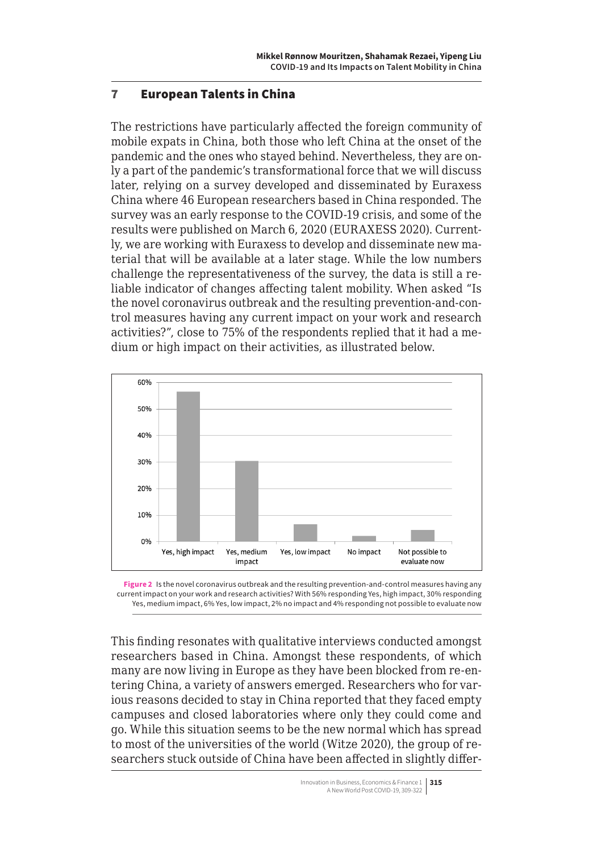## <span id="page-6-0"></span>7 European Talents in China

The restrictions have particularly affected the foreign community of mobile expats in China, both those who left China at the onset of the pandemic and the ones who stayed behind. Nevertheless, they are only a part of the pandemic's transformational force that we will discuss later, relying on a survey developed and disseminated by Euraxess China where 46 European researchers based in China responded. The survey was an early response to the COVID-19 crisis, and some of the results were published on March 6, 2020 (EURAXESS 2020). Currently, we are working with Euraxess to develop and disseminate new material that will be available at a later stage. While the low numbers challenge the representativeness of the survey, the data is still a reliable indicator of changes affecting talent mobility. When asked "Is the novel coronavirus outbreak and the resulting prevention-and-control measures having any current impact on your work and research activities?", close to 75% of the respondents replied that it had a medium or high impact on their activities, as illustrated below.





This finding resonates with qualitative interviews conducted amongst researchers based in China. Amongst these respondents, of which many are now living in Europe as they have been blocked from re-entering China, a variety of answers emerged. Researchers who for various reasons decided to stay in China reported that they faced empty campuses and closed laboratories where only they could come and go. While this situation seems to be the new normal which has spread to most of the universities of the world (Witze 2020), the group of researchers stuck outside of China have been affected in slightly differ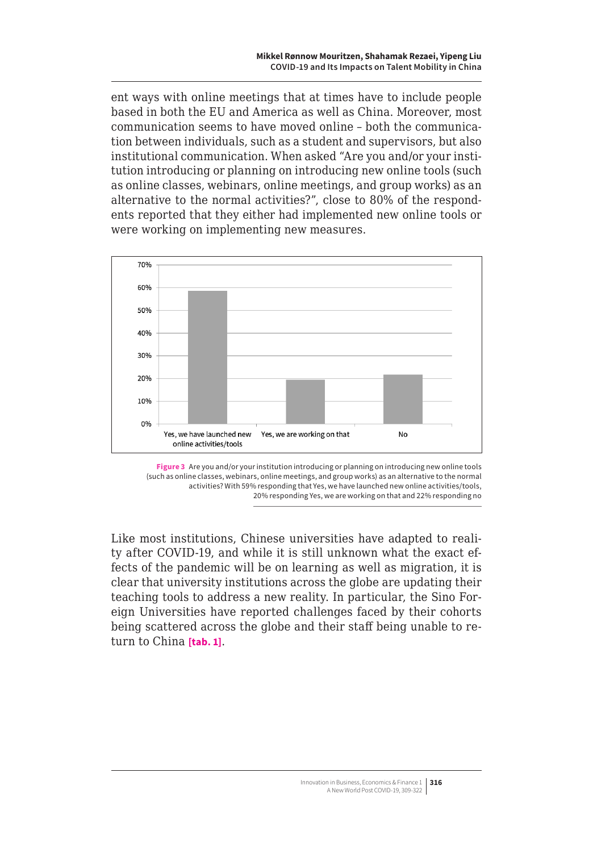<span id="page-7-0"></span>ent ways with online meetings that at times have to include people based in both the EU and America as well as China. Moreover, most communication seems to have moved online – both the communication between individuals, such as a student and supervisors, but also institutional communication. When asked "Are you and/or your institution introducing or planning on introducing new online tools (such as online classes, webinars, online meetings, and group works) as an alternative to the normal activities?", close to 80% of the respondents reported that they either had implemented new online tools or were working on implementing new measures.





Like most institutions, Chinese universities have adapted to reality after COVID-19, and while it is still unknown what the exact effects of the pandemic will be on learning as well as migration, it is clear that university institutions across the globe are updating their teaching tools to address a new reality. In particular, the Sino Foreign Universities have reported challenges faced by their cohorts being scattered across the globe and their staff being unable to return to China **[tab. 1]**.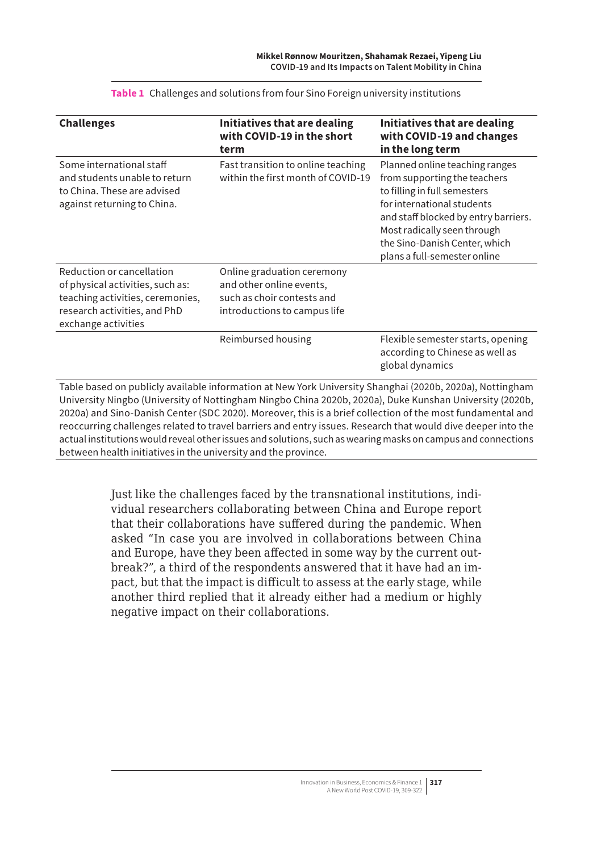| <b>Challenges</b>                                                                                                                                        | Initiatives that are dealing<br>with COVID-19 in the short<br>term                                                   | Initiatives that are dealing<br>with COVID-19 and changes<br>in the long term                                                                                                                                                                                        |
|----------------------------------------------------------------------------------------------------------------------------------------------------------|----------------------------------------------------------------------------------------------------------------------|----------------------------------------------------------------------------------------------------------------------------------------------------------------------------------------------------------------------------------------------------------------------|
| Some international staff<br>and students unable to return<br>to China. These are advised<br>against returning to China.                                  | Fast transition to online teaching<br>within the first month of COVID-19                                             | Planned online teaching ranges<br>from supporting the teachers<br>to filling in full semesters<br>for international students<br>and staff blocked by entry barriers.<br>Most radically seen through<br>the Sino-Danish Center, which<br>plans a full-semester online |
| Reduction or cancellation<br>of physical activities, such as:<br>teaching activities, ceremonies,<br>research activities, and PhD<br>exchange activities | Online graduation ceremony<br>and other online events,<br>such as choir contests and<br>introductions to campus life |                                                                                                                                                                                                                                                                      |
|                                                                                                                                                          | Reimbursed housing                                                                                                   | Flexible semester starts, opening<br>according to Chinese as well as<br>global dynamics                                                                                                                                                                              |

**Table 1** Challenges and solutions from four Sino Foreign university institutions

University Ningbo (University of Nottingham Ningbo China 2020b, 2020a), Duke Kunshan University (2020b, 2020a) and Sino-Danish Center (SDC 2020). Moreover, this is a brief collection of the most fundamental and reoccurring challenges related to travel barriers and entry issues. Research that would dive deeper into the actual institutions would reveal other issues and solutions, such as wearing masks on campus and connections between health initiatives in the university and the province.

> Just like the challenges faced by the transnational institutions, individual researchers collaborating between China and Europe report that their collaborations have suffered during the pandemic. When asked "In case you are involved in collaborations between China and Europe, have they been affected in some way by the current outbreak?", a third of the respondents answered that it have had an impact, but that the impact is difficult to assess at the early stage, while another third replied that it already either had a medium or highly negative impact on their collaborations.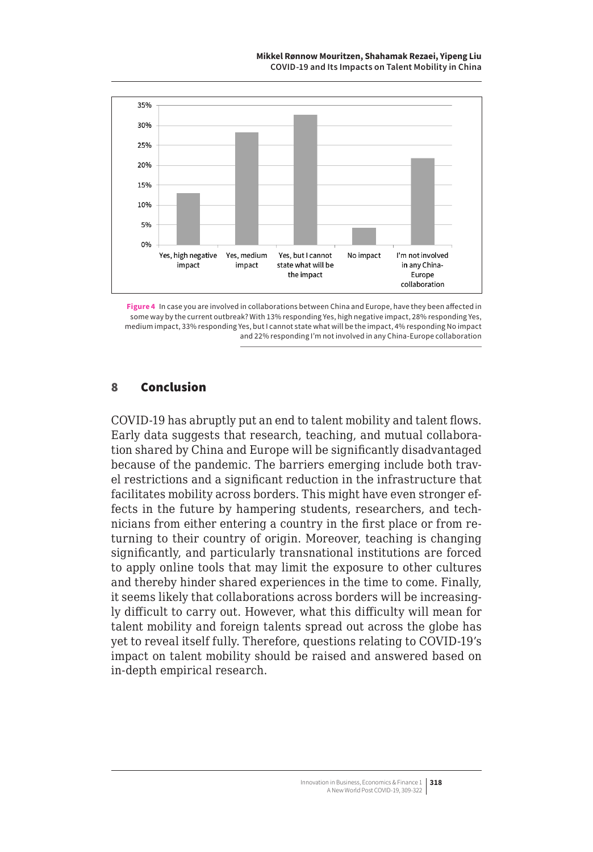**Mikkel Rønnow Mouritzen, Shahamak Rezaei, Yipeng Liu COVID-19 and Its Impacts on Talent Mobility in China**



**Figure 4** In case you are involved in collaborations between China and Europe, have they been affected in some way by the current outbreak? With 13% responding Yes, high negative impact, 28% responding Yes, medium impact, 33% responding Yes, but I cannot state what will be the impact, 4% responding No impact and 22% responding I'm not involved in any China-Europe collaboration

#### 8 Conclusion

COVID-19 has abruptly put an end to talent mobility and talent flows. Early data suggests that research, teaching, and mutual collaboration shared by China and Europe will be significantly disadvantaged because of the pandemic. The barriers emerging include both travel restrictions and a significant reduction in the infrastructure that facilitates mobility across borders. This might have even stronger effects in the future by hampering students, researchers, and technicians from either entering a country in the first place or from returning to their country of origin. Moreover, teaching is changing significantly, and particularly transnational institutions are forced to apply online tools that may limit the exposure to other cultures and thereby hinder shared experiences in the time to come. Finally, it seems likely that collaborations across borders will be increasingly difficult to carry out. However, what this difficulty will mean for talent mobility and foreign talents spread out across the globe has yet to reveal itself fully. Therefore, questions relating to COVID-19's impact on talent mobility should be raised and answered based on in-depth empirical research.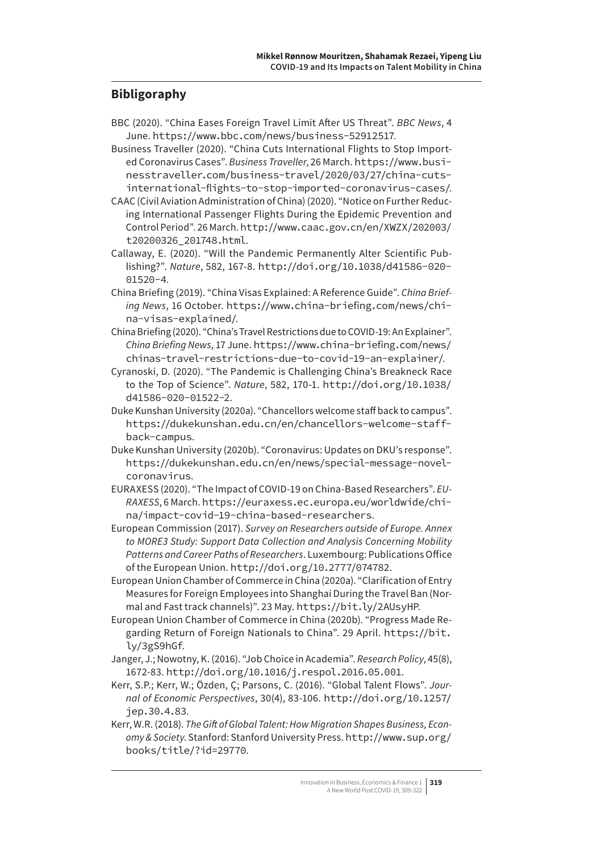## **Bibligoraphy**

- BBC (2020). "China Eases Foreign Travel Limit After US Threat". *BBC News*, 4 June. <https://www.bbc.com/news/business-52912517>.
- Business Traveller (2020). "China Cuts International Flights to Stop Imported Coronavirus Cases". *Business Traveller*, 26 March. [https://www.busi](https://www.businesstraveller.com/business-travel/2020/03/27/china-cuts-international-flights-to-stop-imported-coronavirus-cases/)[nesstraveller.com/business-travel/2020/03/27/china-cuts](https://www.businesstraveller.com/business-travel/2020/03/27/china-cuts-international-flights-to-stop-imported-coronavirus-cases/)[international-flights-to-stop-imported-coronavirus-cases/](https://www.businesstraveller.com/business-travel/2020/03/27/china-cuts-international-flights-to-stop-imported-coronavirus-cases/).
- CAAC (Civil Aviation Administration of China) (2020). "Notice on Further Reducing International Passenger Flights During the Epidemic Prevention and Control Period". 26 March. [http://www.caac.gov.cn/en/XWZX/202003/](http://www.caac.gov.cn/en/XWZX/202003/t20200326_201748.html) [t20200326\\_201748.html](http://www.caac.gov.cn/en/XWZX/202003/t20200326_201748.html).
- Callaway, E. (2020). "Will the Pandemic Permanently Alter Scientific Publishing?". *Nature*, 582, 167-8. [http://doi.org/10.1038/d41586-020-](http://doi.org/10.1038/d41586-020-01520-4) [01520-4](http://doi.org/10.1038/d41586-020-01520-4).
- China Briefing (2019). "China Visas Explained: A Reference Guide". *China Briefing News*, 16 October. [https://www.china-briefing.com/news/chi](https://www.china-briefing.com/news/china-visas-explained/)[na-visas-explained/](https://www.china-briefing.com/news/china-visas-explained/).
- China Briefing (2020). "China's Travel Restrictions due to COVID-19: An Explainer". *China Briefing News*, 17 June. [https://www.china-briefing.com/news/](https://www.china-briefing.com/news/chinas-travel-restrictions-due-to-covid-19-an-explainer/) [chinas-travel-restrictions-due-to-covid-19-an-explainer/](https://www.china-briefing.com/news/chinas-travel-restrictions-due-to-covid-19-an-explainer/).
- Cyranoski, D. (2020). "The Pandemic is Challenging China's Breakneck Race to the Top of Science". *Nature*, 582, 170-1. [http://doi.org/10.1038/](http://doi.org/10.1038/d41586-020-01522-2) [d41586-020-01522-2](http://doi.org/10.1038/d41586-020-01522-2).
- Duke Kunshan University (2020a). "Chancellors welcome staff back to campus". [https://dukekunshan.edu.cn/en/chancellors-welcome-staff](https://dukekunshan.edu.cn/en/chancellors-welcome-staff-back-campus)[back-campus](https://dukekunshan.edu.cn/en/chancellors-welcome-staff-back-campus).
- Duke Kunshan University (2020b). "Coronavirus: Updates on DKU's response". [https://dukekunshan.edu.cn/en/news/special-message-novel](https://dukekunshan.edu.cn/en/news/special-message-novel-coronavirus)[coronavirus](https://dukekunshan.edu.cn/en/news/special-message-novel-coronavirus).
- EURAXESS (2020). "The Impact of COVID-19 on China-Based Researchers". *EU-RAXESS*, 6 March. [https://euraxess.ec.europa.eu/worldwide/chi](https://euraxess.ec.europa.eu/worldwide/china/impact-covid-19-china-based-researchers)[na/impact-covid-19-china-based-researchers](https://euraxess.ec.europa.eu/worldwide/china/impact-covid-19-china-based-researchers).
- European Commission (2017). *Survey on Researchers outside of Europe. Annex to MORE3 Study: Support Data Collection and Analysis Concerning Mobility Patterns and Career Paths of Researchers*. Luxembourg: Publications Office of the European Union. <http://doi.org/10.2777/074782>.
- European Union Chamber of Commerce in China (2020a). "Clarification of Entry Measures for Foreign Employees into Shanghai During the Travel Ban (Normal and Fast track channels)". 23 May. <https://bit.ly/2AUsyHP>.
- European Union Chamber of Commerce in China (2020b). "Progress Made Regarding Return of Foreign Nationals to China". 29 April. [https://bit.](https://bit.ly/3gS9hGf) [ly/3gS9hGf](https://bit.ly/3gS9hGf).
- Janger, J.; Nowotny, K. (2016). "Job Choice in Academia". *Research Policy*, 45(8), 1672-83. <http://doi.org/10.1016/j.respol.2016.05.001>.
- Kerr, S.P.; Kerr, W.; Özden, Ç; Parsons, C. (2016). "Global Talent Flows". *Journal of Economic Perspectives*, 30(4), 83-106. [http://doi.org/10.1257/](http://doi.org/10.1257/jep.30.4.83) [jep.30.4.83](http://doi.org/10.1257/jep.30.4.83).
- Kerr, W.R. (2018). *The Gift of Global Talent: How Migration Shapes Business, Economy & Society*. Stanford: Stanford University Press. [http://www.sup.org/](http://www.sup.org/books/title/?id=29770) [books/title/?id=29770](http://www.sup.org/books/title/?id=29770).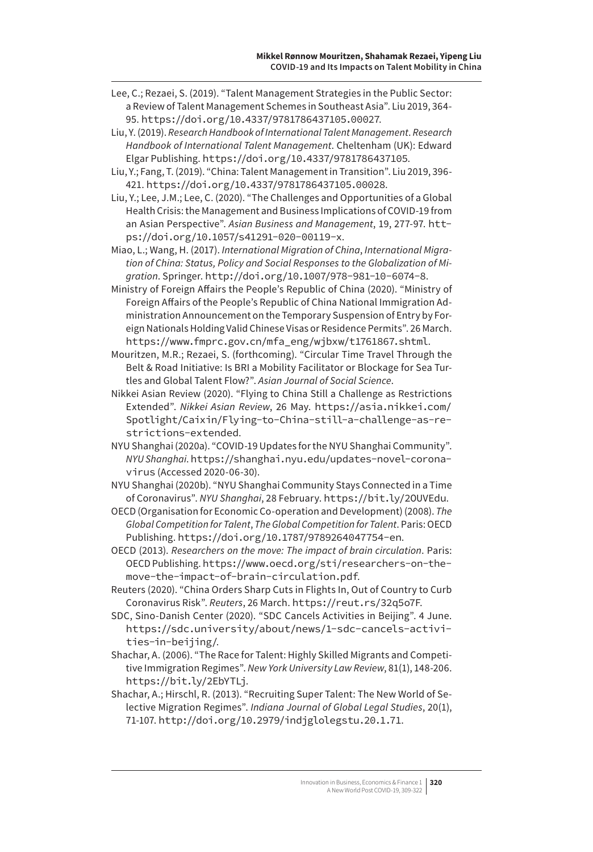Lee, C.; Rezaei, S. (2019). "Talent Management Strategies in the Public Sector: a Review of Talent Management Schemes in Southeast Asia". Liu 2019, 364- 95. <https://doi.org/10.4337/9781786437105.00027>.

Liu, Y. (2019). *Research Handbook of International Talent Management*. *Research Handbook of International Talent Management*. Cheltenham (UK): Edward Elgar Publishing. <https://doi.org/10.4337/9781786437105>.

- Liu, Y.; Fang, T. (2019). "China: Talent Management in Transition". Liu 2019, 396- 421. <https://doi.org/10.4337/9781786437105.00028>.
- Liu, Y.; Lee, J.M.; Lee, C. (2020). "The Challenges and Opportunities of a Global Health Crisis: the Management and Business Implications of COVID-19 from an Asian Perspective". *Asian Business and Management*, 19, 277-97. [htt](https://doi.org/10.1057/s41291-020-00119-x)[ps://doi.org/10.1057/s41291-020-00119-x](https://doi.org/10.1057/s41291-020-00119-x).

Miao, L.; Wang, H. (2017). *International Migration of China*, *International Migration of China: Status, Policy and Social Responses to the Globalization of Migration*. Springer. <http://doi.org/10.1007/978-981-10-6074-8>.

Ministry of Foreign Affairs the People's Republic of China (2020). "Ministry of Foreign Affairs of the People's Republic of China National Immigration Administration Announcement on the Temporary Suspension of Entry by Foreign Nationals Holding Valid Chinese Visas or Residence Permits". 26 March. [https://www.fmprc.gov.cn/mfa\\_eng/wjbxw/t1761867.shtml](https://www.fmprc.gov.cn/mfa_eng/wjbxw/t1761867.shtml).

Mouritzen, M.R.; Rezaei, S. (forthcoming). "Circular Time Travel Through the Belt & Road Initiative: Is BRI a Mobility Facilitator or Blockage for Sea Turtles and Global Talent Flow?". *Asian Journal of Social Science*.

- Nikkei Asian Review (2020). "Flying to China Still a Challenge as Restrictions Extended". *Nikkei Asian Review*, 26 May. [https://asia.nikkei.com/](https://asia.nikkei.com/Spotlight/Caixin/Flying-to-China-still-a-challenge-as-restrictions-extended) [Spotlight/Caixin/Flying-to-China-still-a-challenge-as-re](https://asia.nikkei.com/Spotlight/Caixin/Flying-to-China-still-a-challenge-as-restrictions-extended)[strictions-extended](https://asia.nikkei.com/Spotlight/Caixin/Flying-to-China-still-a-challenge-as-restrictions-extended).
- NYU Shanghai (2020a). "COVID-19 Updates for the NYU Shanghai Community". *NYU Shanghai*. [https://shanghai.nyu.edu/updates-novel-corona](https://shanghai.nyu.edu/updates-novel-coronavirus)[virus](https://shanghai.nyu.edu/updates-novel-coronavirus) (Accessed 2020-06-30).
- NYU Shanghai (2020b). "NYU Shanghai Community Stays Connected in a Time of Coronavirus". *NYU Shanghai*, 28 February. https://bit.ly/2OUVEdu.
- OECD (Organisation for Economic Co-operation and Development) (2008). *The Global Competition for Talent*, *The Global Competition for Talent*. Paris: OECD Publishing. <https://doi.org/10.1787/9789264047754-en>.
- OECD (2013). *Researchers on the move: The impact of brain circulation*. Paris: OECD Publishing. [https://www.oecd.org/sti/researchers-on-the](https://www.oecd.org/sti/researchers-on-the-move-the-impact-of-brain-circulation.pdf)[move-the-impact-of-brain-circulation.pdf](https://www.oecd.org/sti/researchers-on-the-move-the-impact-of-brain-circulation.pdf).
- Reuters (2020). "China Orders Sharp Cuts in Flights In, Out of Country to Curb Coronavirus Risk". *Reuters*, 26 March. <https://reut.rs/32q5o7F>.
- SDC, Sino-Danish Center (2020). "SDC Cancels Activities in Beijing". 4 June. [https://sdc.university/about/news/1-sdc-cancels-activi](https://sdc.university/about/news/1-sdc-cancels-activities-in-beijing/)[ties-in-beijing/](https://sdc.university/about/news/1-sdc-cancels-activities-in-beijing/).
- Shachar, A. (2006). "The Race for Talent: Highly Skilled Migrants and Competitive Immigration Regimes". *New York University Law Review*, 81(1), 148-206. https://bit.ly/2EbYTLj.
- Shachar, A.; Hirschl, R. (2013). "Recruiting Super Talent: The New World of Selective Migration Regimes". *Indiana Journal of Global Legal Studies*, 20(1), 71-107. <http://doi.org/10.2979/indjglolegstu.20.1.71>.